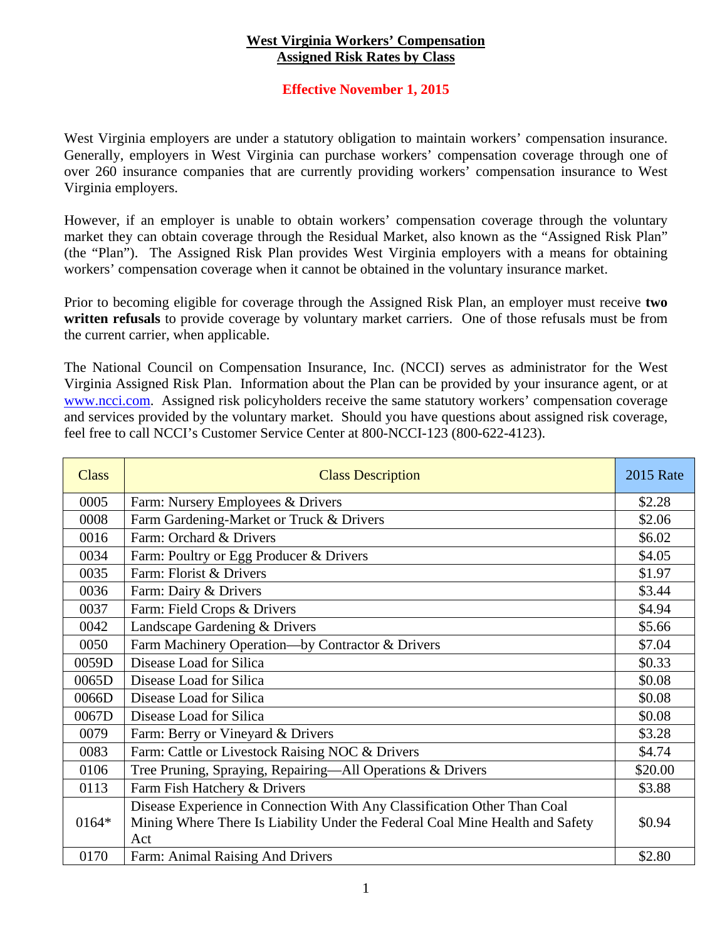## **West Virginia Workers' Compensation Assigned Risk Rates by Class**

## **Effective November 1, 2015**

West Virginia employers are under a statutory obligation to maintain workers' compensation insurance. Generally, employers in West Virginia can purchase workers' compensation coverage through one of over 260 insurance companies that are currently providing workers' compensation insurance to West Virginia employers.

However, if an employer is unable to obtain workers' compensation coverage through the voluntary market they can obtain coverage through the Residual Market, also known as the "Assigned Risk Plan" (the "Plan"). The Assigned Risk Plan provides West Virginia employers with a means for obtaining workers' compensation coverage when it cannot be obtained in the voluntary insurance market.

Prior to becoming eligible for coverage through the Assigned Risk Plan, an employer must receive **two written refusals** to provide coverage by voluntary market carriers. One of those refusals must be from the current carrier, when applicable.

The National Council on Compensation Insurance, Inc. (NCCI) serves as administrator for the West Virginia Assigned Risk Plan. Information about the Plan can be provided by your insurance agent, or at www.ncci.com. Assigned risk policyholders receive the same statutory workers' compensation coverage and services provided by the voluntary market. Should you have questions about assigned risk coverage, feel free to call NCCI's Customer Service Center at 800-NCCI-123 (800-622-4123).

| <b>Class</b> | <b>Class Description</b>                                                                                                                                         | <b>2015 Rate</b> |
|--------------|------------------------------------------------------------------------------------------------------------------------------------------------------------------|------------------|
| 0005         | Farm: Nursery Employees & Drivers                                                                                                                                | \$2.28           |
| 0008         | Farm Gardening-Market or Truck & Drivers                                                                                                                         | \$2.06           |
| 0016         | Farm: Orchard & Drivers                                                                                                                                          | \$6.02           |
| 0034         | Farm: Poultry or Egg Producer & Drivers                                                                                                                          | \$4.05           |
| 0035         | Farm: Florist & Drivers                                                                                                                                          | \$1.97           |
| 0036         | Farm: Dairy & Drivers                                                                                                                                            | \$3.44           |
| 0037         | Farm: Field Crops & Drivers                                                                                                                                      | \$4.94           |
| 0042         | Landscape Gardening & Drivers                                                                                                                                    | \$5.66           |
| 0050         | Farm Machinery Operation—by Contractor & Drivers                                                                                                                 | \$7.04           |
| 0059D        | Disease Load for Silica                                                                                                                                          | \$0.33           |
| 0065D        | Disease Load for Silica                                                                                                                                          | \$0.08           |
| 0066D        | Disease Load for Silica                                                                                                                                          | \$0.08           |
| 0067D        | Disease Load for Silica                                                                                                                                          | \$0.08           |
| 0079         | Farm: Berry or Vineyard & Drivers                                                                                                                                | \$3.28           |
| 0083         | Farm: Cattle or Livestock Raising NOC & Drivers                                                                                                                  | \$4.74           |
| 0106         | Tree Pruning, Spraying, Repairing-All Operations & Drivers                                                                                                       | \$20.00          |
| 0113         | Farm Fish Hatchery & Drivers                                                                                                                                     | \$3.88           |
| 0164*        | Disease Experience in Connection With Any Classification Other Than Coal<br>Mining Where There Is Liability Under the Federal Coal Mine Health and Safety<br>Act | \$0.94           |
| 0170         | Farm: Animal Raising And Drivers                                                                                                                                 | \$2.80           |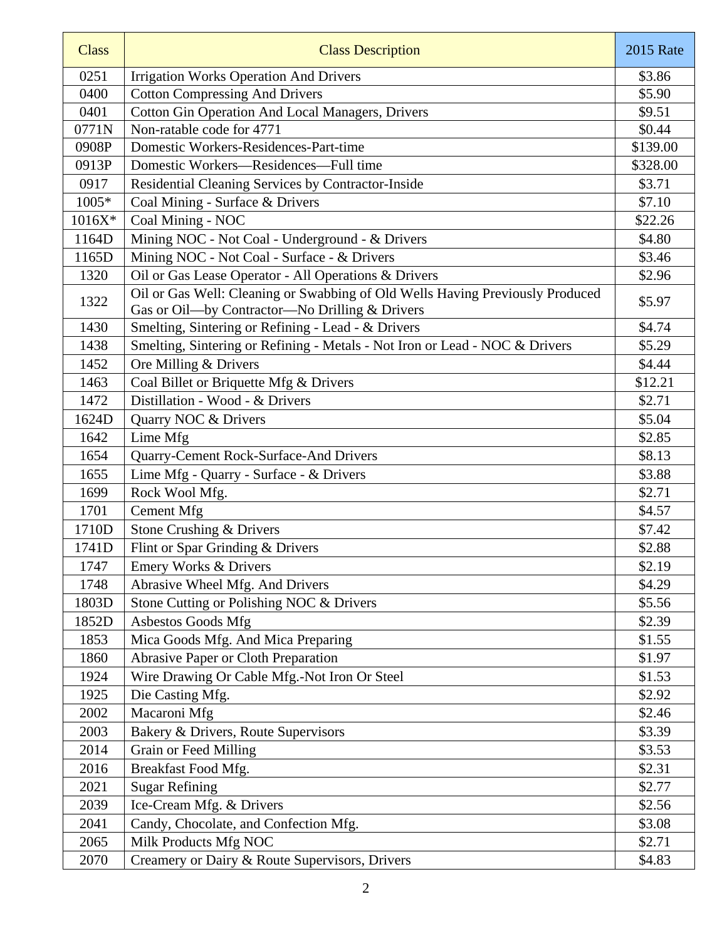| <b>Class</b> | <b>Class Description</b>                                                      | <b>2015 Rate</b> |
|--------------|-------------------------------------------------------------------------------|------------------|
| 0251         | <b>Irrigation Works Operation And Drivers</b>                                 | \$3.86           |
| 0400         | <b>Cotton Compressing And Drivers</b>                                         | \$5.90           |
| 0401         | <b>Cotton Gin Operation And Local Managers, Drivers</b>                       | \$9.51           |
| 0771N        | Non-ratable code for 4771                                                     | \$0.44           |
| 0908P        | Domestic Workers-Residences-Part-time                                         | \$139.00         |
| 0913P        | Domestic Workers-Residences-Full time                                         | \$328.00         |
| 0917         | Residential Cleaning Services by Contractor-Inside                            | \$3.71           |
| 1005*        | Coal Mining - Surface & Drivers                                               | \$7.10           |
| 1016X*       | Coal Mining - NOC                                                             | \$22.26          |
| 1164D        | Mining NOC - Not Coal - Underground - & Drivers                               | \$4.80           |
| 1165D        | Mining NOC - Not Coal - Surface - & Drivers                                   | \$3.46           |
| 1320         | Oil or Gas Lease Operator - All Operations & Drivers                          | \$2.96           |
| 1322         | Oil or Gas Well: Cleaning or Swabbing of Old Wells Having Previously Produced | \$5.97           |
|              | Gas or Oil-by Contractor-No Drilling & Drivers                                |                  |
| 1430         | Smelting, Sintering or Refining - Lead - & Drivers                            | \$4.74           |
| 1438         | Smelting, Sintering or Refining - Metals - Not Iron or Lead - NOC & Drivers   | \$5.29           |
| 1452         | Ore Milling & Drivers                                                         | \$4.44           |
| 1463         | Coal Billet or Briquette Mfg & Drivers                                        | \$12.21          |
| 1472         | Distillation - Wood - & Drivers                                               | \$2.71           |
| 1624D        | Quarry NOC & Drivers                                                          | \$5.04           |
| 1642         | Lime Mfg                                                                      | \$2.85           |
| 1654         | Quarry-Cement Rock-Surface-And Drivers                                        | \$8.13           |
| 1655         | Lime Mfg - Quarry - Surface - & Drivers                                       | \$3.88           |
| 1699         | Rock Wool Mfg.                                                                | \$2.71           |
| 1701         | <b>Cement Mfg</b>                                                             | \$4.57           |
| 1710D        | Stone Crushing & Drivers                                                      | \$7.42           |
| 1741D        | Flint or Spar Grinding & Drivers                                              | \$2.88           |
| 1747         | Emery Works & Drivers                                                         | \$2.19           |
| 1748         | Abrasive Wheel Mfg. And Drivers                                               | \$4.29           |
| 1803D        | Stone Cutting or Polishing NOC & Drivers                                      | \$5.56           |
| 1852D        | Asbestos Goods Mfg                                                            | \$2.39           |
| 1853         | Mica Goods Mfg. And Mica Preparing                                            | \$1.55           |
| 1860         | Abrasive Paper or Cloth Preparation                                           | \$1.97           |
| 1924         | Wire Drawing Or Cable Mfg.-Not Iron Or Steel                                  | \$1.53           |
| 1925         | Die Casting Mfg.                                                              | \$2.92           |
| 2002         | Macaroni Mfg                                                                  | \$2.46           |
| 2003         | Bakery & Drivers, Route Supervisors                                           | \$3.39           |
| 2014         | Grain or Feed Milling                                                         | \$3.53           |
| 2016         | Breakfast Food Mfg.                                                           | \$2.31           |
| 2021         | <b>Sugar Refining</b>                                                         | \$2.77           |
| 2039         | Ice-Cream Mfg. & Drivers                                                      | \$2.56           |
| 2041         | Candy, Chocolate, and Confection Mfg.                                         | \$3.08           |
| 2065         | Milk Products Mfg NOC                                                         | \$2.71           |
| 2070         | Creamery or Dairy & Route Supervisors, Drivers                                | \$4.83           |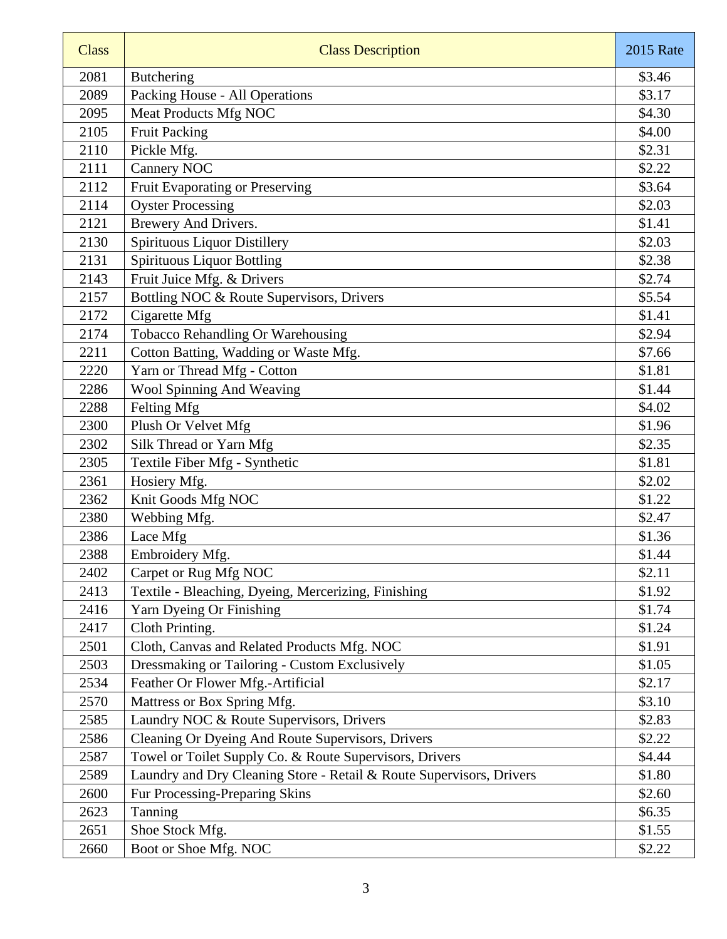| <b>Class</b> | <b>Class Description</b>                                             | <b>2015 Rate</b> |
|--------------|----------------------------------------------------------------------|------------------|
| 2081         | Butchering                                                           | \$3.46           |
| 2089         | Packing House - All Operations                                       | \$3.17           |
| 2095         | <b>Meat Products Mfg NOC</b>                                         | \$4.30           |
| 2105         | <b>Fruit Packing</b>                                                 | \$4.00           |
| 2110         | Pickle Mfg.                                                          | \$2.31           |
| 2111         | Cannery NOC                                                          | \$2.22           |
| 2112         | Fruit Evaporating or Preserving                                      | \$3.64           |
| 2114         | <b>Oyster Processing</b>                                             | \$2.03           |
| 2121         | Brewery And Drivers.                                                 | \$1.41           |
| 2130         | Spirituous Liquor Distillery                                         | \$2.03           |
| 2131         | <b>Spirituous Liquor Bottling</b>                                    | \$2.38           |
| 2143         | Fruit Juice Mfg. & Drivers                                           | \$2.74           |
| 2157         | Bottling NOC & Route Supervisors, Drivers                            | \$5.54           |
| 2172         | Cigarette Mfg                                                        | \$1.41           |
| 2174         | Tobacco Rehandling Or Warehousing                                    | \$2.94           |
| 2211         | Cotton Batting, Wadding or Waste Mfg.                                | \$7.66           |
| 2220         | Yarn or Thread Mfg - Cotton                                          | \$1.81           |
| 2286         | Wool Spinning And Weaving                                            | \$1.44           |
| 2288         | Felting Mfg                                                          | \$4.02           |
| 2300         | Plush Or Velvet Mfg                                                  | \$1.96           |
| 2302         | Silk Thread or Yarn Mfg                                              | \$2.35           |
| 2305         | Textile Fiber Mfg - Synthetic                                        | \$1.81           |
| 2361         | Hosiery Mfg.                                                         | \$2.02           |
| 2362         | Knit Goods Mfg NOC                                                   | \$1.22           |
| 2380         | Webbing Mfg.                                                         | \$2.47           |
| 2386         | Lace Mfg                                                             | \$1.36           |
| 2388         | Embroidery Mfg.                                                      | \$1.44           |
| 2402         | Carpet or Rug Mfg NOC                                                | \$2.11           |
| 2413         | Textile - Bleaching, Dyeing, Mercerizing, Finishing                  | \$1.92           |
| 2416         | Yarn Dyeing Or Finishing                                             | \$1.74           |
| 2417         | Cloth Printing.                                                      | \$1.24           |
| 2501         | Cloth, Canvas and Related Products Mfg. NOC                          | \$1.91           |
| 2503         | Dressmaking or Tailoring - Custom Exclusively                        | \$1.05           |
| 2534         | Feather Or Flower Mfg.-Artificial                                    | \$2.17           |
| 2570         | Mattress or Box Spring Mfg.                                          | \$3.10           |
| 2585         | Laundry NOC & Route Supervisors, Drivers                             | \$2.83           |
| 2586         | Cleaning Or Dyeing And Route Supervisors, Drivers                    | \$2.22           |
| 2587         | Towel or Toilet Supply Co. & Route Supervisors, Drivers              | \$4.44           |
| 2589         | Laundry and Dry Cleaning Store - Retail & Route Supervisors, Drivers | \$1.80           |
| 2600         | Fur Processing-Preparing Skins                                       | \$2.60           |
| 2623         | Tanning                                                              | \$6.35           |
| 2651         | Shoe Stock Mfg.                                                      | \$1.55           |
| 2660         | Boot or Shoe Mfg. NOC                                                | \$2.22           |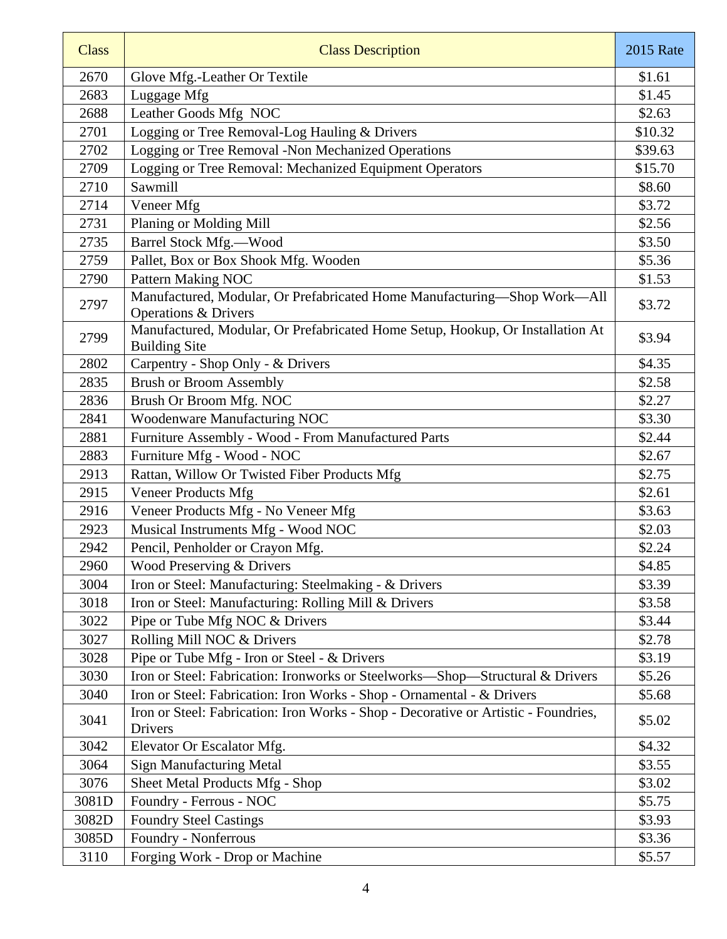| <b>Class</b> | <b>Class Description</b>                                                                                    | <b>2015</b> Rate |
|--------------|-------------------------------------------------------------------------------------------------------------|------------------|
| 2670         | Glove Mfg.-Leather Or Textile                                                                               | \$1.61           |
| 2683         | Luggage Mfg                                                                                                 | \$1.45           |
| 2688         | Leather Goods Mfg NOC                                                                                       | \$2.63           |
| 2701         | Logging or Tree Removal-Log Hauling & Drivers                                                               | \$10.32          |
| 2702         | Logging or Tree Removal -Non Mechanized Operations                                                          | \$39.63          |
| 2709         | Logging or Tree Removal: Mechanized Equipment Operators                                                     | \$15.70          |
| 2710         | Sawmill                                                                                                     | \$8.60           |
| 2714         | Veneer Mfg                                                                                                  | \$3.72           |
| 2731         | Planing or Molding Mill                                                                                     | \$2.56           |
| 2735         | Barrel Stock Mfg.-Wood                                                                                      | \$3.50           |
| 2759         | Pallet, Box or Box Shook Mfg. Wooden                                                                        | \$5.36           |
| 2790         | Pattern Making NOC                                                                                          | \$1.53           |
| 2797         | Manufactured, Modular, Or Prefabricated Home Manufacturing-Shop Work-All<br><b>Operations &amp; Drivers</b> | \$3.72           |
| 2799         | Manufactured, Modular, Or Prefabricated Home Setup, Hookup, Or Installation At<br><b>Building Site</b>      | \$3.94           |
| 2802         | Carpentry - Shop Only - & Drivers                                                                           | \$4.35           |
| 2835         | <b>Brush or Broom Assembly</b>                                                                              | \$2.58           |
| 2836         | Brush Or Broom Mfg. NOC                                                                                     | \$2.27           |
| 2841         | Woodenware Manufacturing NOC                                                                                | \$3.30           |
| 2881         | Furniture Assembly - Wood - From Manufactured Parts                                                         | \$2.44           |
| 2883         | Furniture Mfg - Wood - NOC                                                                                  | \$2.67           |
| 2913         | Rattan, Willow Or Twisted Fiber Products Mfg                                                                | \$2.75           |
| 2915         | <b>Veneer Products Mfg</b>                                                                                  | \$2.61           |
| 2916         | Veneer Products Mfg - No Veneer Mfg                                                                         | \$3.63           |
| 2923         | Musical Instruments Mfg - Wood NOC                                                                          | \$2.03           |
| 2942         | Pencil, Penholder or Crayon Mfg.                                                                            | \$2.24           |
| 2960         | Wood Preserving & Drivers                                                                                   | \$4.85           |
| 3004         | Iron or Steel: Manufacturing: Steelmaking - & Drivers                                                       | \$3.39           |
| 3018         | Iron or Steel: Manufacturing: Rolling Mill & Drivers                                                        | \$3.58           |
| 3022         | Pipe or Tube Mfg NOC & Drivers                                                                              | \$3.44           |
| 3027         | Rolling Mill NOC & Drivers                                                                                  | \$2.78           |
| 3028         | Pipe or Tube Mfg - Iron or Steel - & Drivers                                                                | \$3.19           |
| 3030         | Iron or Steel: Fabrication: Ironworks or Steelworks—Shop—Structural & Drivers                               | \$5.26           |
| 3040         | Iron or Steel: Fabrication: Iron Works - Shop - Ornamental - & Drivers                                      | \$5.68           |
| 3041         | Iron or Steel: Fabrication: Iron Works - Shop - Decorative or Artistic - Foundries,<br><b>Drivers</b>       | \$5.02           |
| 3042         | Elevator Or Escalator Mfg.                                                                                  | \$4.32           |
| 3064         | <b>Sign Manufacturing Metal</b>                                                                             | \$3.55           |
| 3076         | Sheet Metal Products Mfg - Shop                                                                             | \$3.02           |
| 3081D        | Foundry - Ferrous - NOC                                                                                     | \$5.75           |
| 3082D        | <b>Foundry Steel Castings</b>                                                                               | \$3.93           |
| 3085D        | Foundry - Nonferrous                                                                                        | \$3.36           |
| 3110         | Forging Work - Drop or Machine                                                                              | \$5.57           |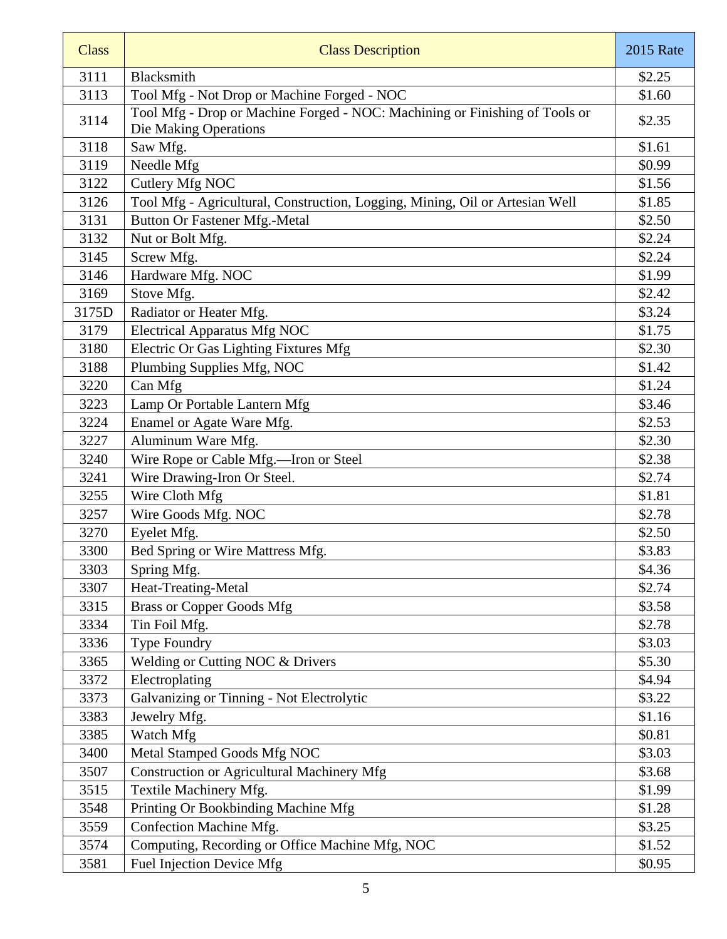| <b>Class</b> | <b>Class Description</b>                                                                             | <b>2015 Rate</b> |
|--------------|------------------------------------------------------------------------------------------------------|------------------|
| 3111         | Blacksmith                                                                                           | \$2.25           |
| 3113         | Tool Mfg - Not Drop or Machine Forged - NOC                                                          | \$1.60           |
| 3114         | Tool Mfg - Drop or Machine Forged - NOC: Machining or Finishing of Tools or<br>Die Making Operations | \$2.35           |
| 3118         | Saw Mfg.                                                                                             | \$1.61           |
| 3119         | Needle Mfg                                                                                           | \$0.99           |
| 3122         | Cutlery Mfg NOC                                                                                      | \$1.56           |
| 3126         | Tool Mfg - Agricultural, Construction, Logging, Mining, Oil or Artesian Well                         | \$1.85           |
| 3131         | Button Or Fastener Mfg.-Metal                                                                        | \$2.50           |
| 3132         | Nut or Bolt Mfg.                                                                                     | \$2.24           |
| 3145         | Screw Mfg.                                                                                           | \$2.24           |
| 3146         | Hardware Mfg. NOC                                                                                    | \$1.99           |
| 3169         | Stove Mfg.                                                                                           | \$2.42           |
| 3175D        | Radiator or Heater Mfg.                                                                              | \$3.24           |
| 3179         | <b>Electrical Apparatus Mfg NOC</b>                                                                  | \$1.75           |
| 3180         | Electric Or Gas Lighting Fixtures Mfg                                                                | \$2.30           |
| 3188         | Plumbing Supplies Mfg, NOC                                                                           | \$1.42           |
| 3220         | Can Mfg                                                                                              | \$1.24           |
| 3223         | Lamp Or Portable Lantern Mfg                                                                         | \$3.46           |
| 3224         | Enamel or Agate Ware Mfg.                                                                            | \$2.53           |
| 3227         | Aluminum Ware Mfg.                                                                                   | \$2.30           |
| 3240         | Wire Rope or Cable Mfg.-Iron or Steel                                                                | \$2.38           |
| 3241         | Wire Drawing-Iron Or Steel.                                                                          | \$2.74           |
| 3255         | Wire Cloth Mfg                                                                                       | \$1.81           |
| 3257         | Wire Goods Mfg. NOC                                                                                  | \$2.78           |
| 3270         | Eyelet Mfg.                                                                                          | \$2.50           |
| 3300         | Bed Spring or Wire Mattress Mfg.                                                                     | \$3.83           |
| 3303         | Spring Mfg.                                                                                          | \$4.36           |
| 3307         | Heat-Treating-Metal                                                                                  | \$2.74           |
| 3315         | <b>Brass or Copper Goods Mfg</b>                                                                     | \$3.58           |
| 3334         | Tin Foil Mfg.                                                                                        | \$2.78           |
| 3336         | <b>Type Foundry</b>                                                                                  | \$3.03           |
| 3365         | Welding or Cutting NOC & Drivers                                                                     | \$5.30           |
| 3372         | Electroplating                                                                                       | \$4.94           |
| 3373         | Galvanizing or Tinning - Not Electrolytic                                                            | \$3.22           |
| 3383         | Jewelry Mfg.                                                                                         | \$1.16           |
| 3385         | Watch Mfg                                                                                            | \$0.81           |
| 3400         | Metal Stamped Goods Mfg NOC                                                                          | \$3.03           |
| 3507         | <b>Construction or Agricultural Machinery Mfg</b>                                                    | \$3.68           |
| 3515         | Textile Machinery Mfg.                                                                               | \$1.99           |
| 3548         | Printing Or Bookbinding Machine Mfg                                                                  | \$1.28           |
| 3559         | Confection Machine Mfg.                                                                              | \$3.25           |
| 3574         | Computing, Recording or Office Machine Mfg, NOC                                                      | \$1.52           |
| 3581         | Fuel Injection Device Mfg                                                                            | \$0.95           |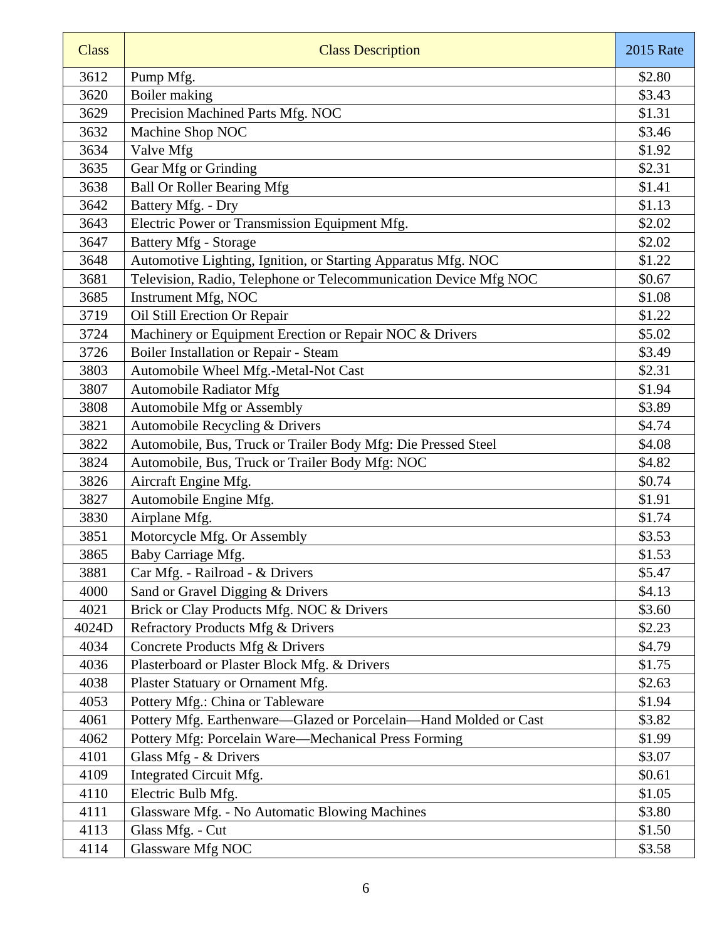| <b>Class</b> | <b>Class Description</b>                                         | <b>2015 Rate</b> |
|--------------|------------------------------------------------------------------|------------------|
| 3612         | Pump Mfg.                                                        | \$2.80           |
| 3620         | Boiler making                                                    | \$3.43           |
| 3629         | Precision Machined Parts Mfg. NOC                                | \$1.31           |
| 3632         | Machine Shop NOC                                                 | \$3.46           |
| 3634         | Valve Mfg                                                        | \$1.92           |
| 3635         | Gear Mfg or Grinding                                             | \$2.31           |
| 3638         | <b>Ball Or Roller Bearing Mfg</b>                                | \$1.41           |
| 3642         | Battery Mfg. - Dry                                               | \$1.13           |
| 3643         | Electric Power or Transmission Equipment Mfg.                    | \$2.02           |
| 3647         | <b>Battery Mfg - Storage</b>                                     | \$2.02           |
| 3648         | Automotive Lighting, Ignition, or Starting Apparatus Mfg. NOC    | \$1.22           |
| 3681         | Television, Radio, Telephone or Telecommunication Device Mfg NOC | \$0.67           |
| 3685         | Instrument Mfg, NOC                                              | \$1.08           |
| 3719         | Oil Still Erection Or Repair                                     | \$1.22           |
| 3724         | Machinery or Equipment Erection or Repair NOC & Drivers          | \$5.02           |
| 3726         | Boiler Installation or Repair - Steam                            | \$3.49           |
| 3803         | Automobile Wheel Mfg.-Metal-Not Cast                             | \$2.31           |
| 3807         | <b>Automobile Radiator Mfg</b>                                   | \$1.94           |
| 3808         | Automobile Mfg or Assembly                                       | \$3.89           |
| 3821         | Automobile Recycling & Drivers                                   | \$4.74           |
| 3822         | Automobile, Bus, Truck or Trailer Body Mfg: Die Pressed Steel    | \$4.08           |
| 3824         | Automobile, Bus, Truck or Trailer Body Mfg: NOC                  | \$4.82           |
| 3826         | Aircraft Engine Mfg.                                             | \$0.74           |
| 3827         | Automobile Engine Mfg.                                           | \$1.91           |
| 3830         | Airplane Mfg.                                                    | \$1.74           |
| 3851         | Motorcycle Mfg. Or Assembly                                      | \$3.53           |
| 3865         | Baby Carriage Mfg.                                               | \$1.53           |
| 3881         | Car Mfg. - Railroad - & Drivers                                  | \$5.47           |
| 4000         | Sand or Gravel Digging & Drivers                                 | \$4.13           |
| 4021         | Brick or Clay Products Mfg. NOC & Drivers                        | \$3.60           |
| 4024D        | Refractory Products Mfg & Drivers                                | \$2.23           |
| 4034         | Concrete Products Mfg & Drivers                                  | \$4.79           |
| 4036         | Plasterboard or Plaster Block Mfg. & Drivers                     | \$1.75           |
| 4038         | Plaster Statuary or Ornament Mfg.                                | \$2.63           |
| 4053         | Pottery Mfg.: China or Tableware                                 | \$1.94           |
| 4061         | Pottery Mfg. Earthenware-Glazed or Porcelain-Hand Molded or Cast | \$3.82           |
| 4062         | Pottery Mfg: Porcelain Ware—Mechanical Press Forming             | \$1.99           |
| 4101         | Glass Mfg - & Drivers                                            | \$3.07           |
| 4109         | Integrated Circuit Mfg.                                          | \$0.61           |
| 4110         | Electric Bulb Mfg.                                               | \$1.05           |
| 4111         | Glassware Mfg. - No Automatic Blowing Machines                   | \$3.80           |
| 4113         | Glass Mfg. - Cut                                                 | \$1.50           |
| 4114         | Glassware Mfg NOC                                                | \$3.58           |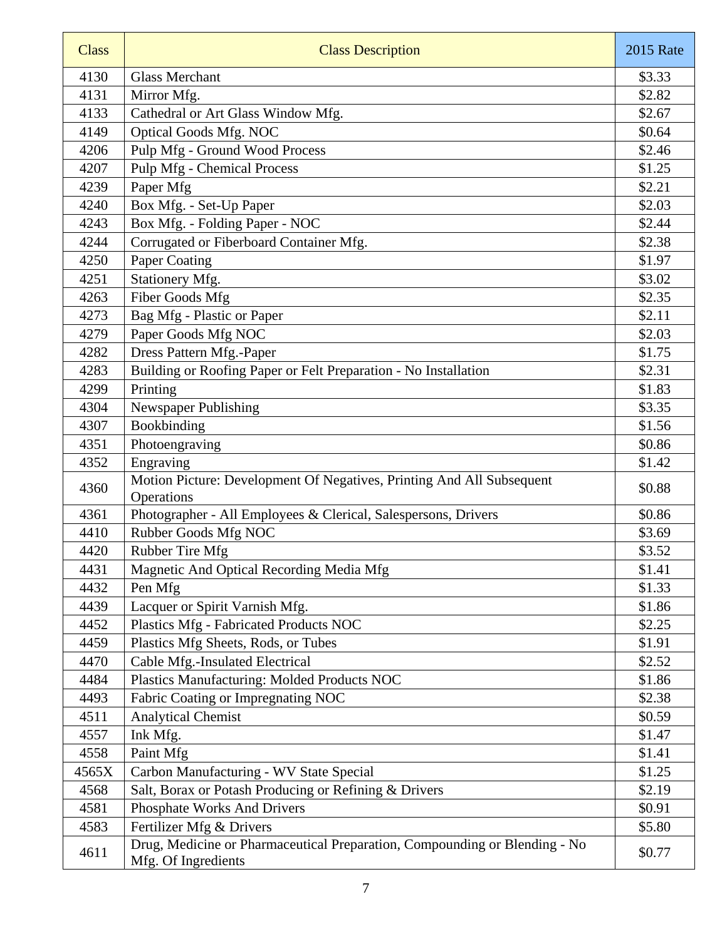| <b>Class</b> | <b>Class Description</b>                                                                          | <b>2015 Rate</b> |
|--------------|---------------------------------------------------------------------------------------------------|------------------|
| 4130         | <b>Glass Merchant</b>                                                                             | \$3.33           |
| 4131         | Mirror Mfg.                                                                                       | \$2.82           |
| 4133         | Cathedral or Art Glass Window Mfg.                                                                | \$2.67           |
| 4149         | Optical Goods Mfg. NOC                                                                            | \$0.64           |
| 4206         | Pulp Mfg - Ground Wood Process                                                                    | \$2.46           |
| 4207         | <b>Pulp Mfg</b> - Chemical Process                                                                | \$1.25           |
| 4239         | Paper Mfg                                                                                         | \$2.21           |
| 4240         | Box Mfg. - Set-Up Paper                                                                           | \$2.03           |
| 4243         | Box Mfg. - Folding Paper - NOC                                                                    | \$2.44           |
| 4244         | Corrugated or Fiberboard Container Mfg.                                                           | \$2.38           |
| 4250         | Paper Coating                                                                                     | \$1.97           |
| 4251         | Stationery Mfg.                                                                                   | \$3.02           |
| 4263         | Fiber Goods Mfg                                                                                   | \$2.35           |
| 4273         | Bag Mfg - Plastic or Paper                                                                        | \$2.11           |
| 4279         | Paper Goods Mfg NOC                                                                               | \$2.03           |
| 4282         | Dress Pattern Mfg.-Paper                                                                          | \$1.75           |
| 4283         | Building or Roofing Paper or Felt Preparation - No Installation                                   | \$2.31           |
| 4299         | Printing                                                                                          | \$1.83           |
| 4304         | Newspaper Publishing                                                                              | \$3.35           |
| 4307         | Bookbinding                                                                                       | \$1.56           |
| 4351         | Photoengraving                                                                                    | \$0.86           |
| 4352         | Engraving                                                                                         | \$1.42           |
| 4360         | Motion Picture: Development Of Negatives, Printing And All Subsequent<br>Operations               | \$0.88           |
| 4361         | Photographer - All Employees & Clerical, Salespersons, Drivers                                    | \$0.86           |
| 4410         | Rubber Goods Mfg NOC                                                                              | \$3.69           |
| 4420         | Rubber Tire Mfg                                                                                   | \$3.52           |
| 4431         | Magnetic And Optical Recording Media Mfg                                                          | \$1.41           |
| 4432         | Pen Mfg                                                                                           | \$1.33           |
| 4439         | Lacquer or Spirit Varnish Mfg.                                                                    | \$1.86           |
| 4452         | Plastics Mfg - Fabricated Products NOC                                                            | \$2.25           |
| 4459         | Plastics Mfg Sheets, Rods, or Tubes                                                               | \$1.91           |
| 4470         | Cable Mfg.-Insulated Electrical                                                                   | \$2.52           |
| 4484         | Plastics Manufacturing: Molded Products NOC                                                       | \$1.86           |
| 4493         | Fabric Coating or Impregnating NOC                                                                | \$2.38           |
| 4511         | <b>Analytical Chemist</b>                                                                         | \$0.59           |
| 4557         | Ink Mfg.                                                                                          | \$1.47           |
| 4558         | Paint Mfg                                                                                         | \$1.41           |
| 4565X        | Carbon Manufacturing - WV State Special                                                           | \$1.25           |
| 4568         | Salt, Borax or Potash Producing or Refining & Drivers                                             | \$2.19           |
| 4581         | Phosphate Works And Drivers                                                                       | \$0.91           |
| 4583         | Fertilizer Mfg & Drivers                                                                          | \$5.80           |
| 4611         | Drug, Medicine or Pharmaceutical Preparation, Compounding or Blending - No<br>Mfg. Of Ingredients | \$0.77           |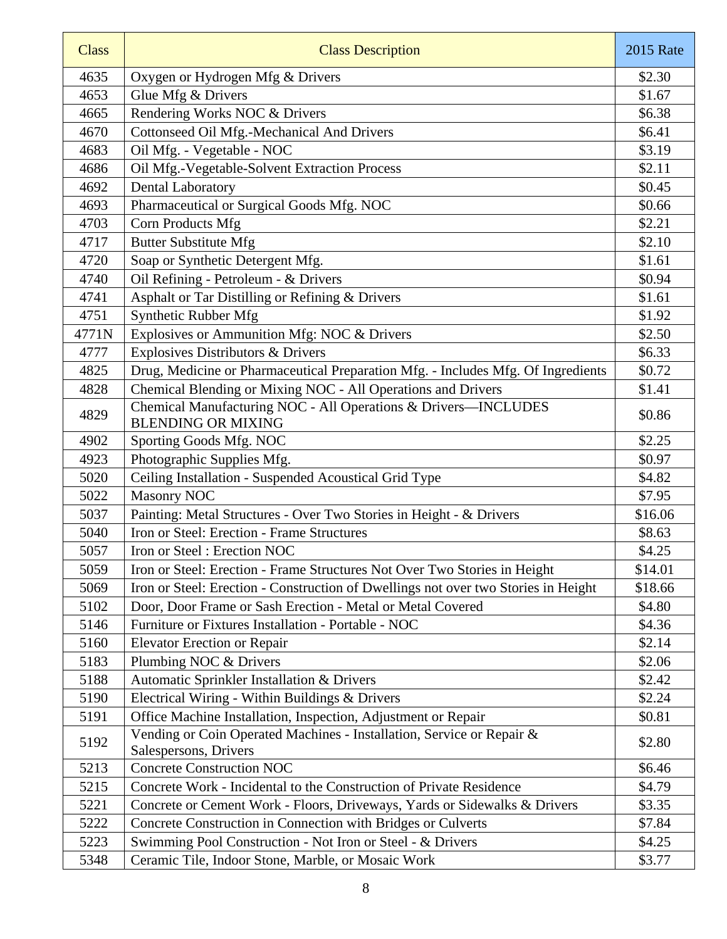| <b>Class</b> | <b>Class Description</b>                                                                       | <b>2015 Rate</b> |
|--------------|------------------------------------------------------------------------------------------------|------------------|
| 4635         | Oxygen or Hydrogen Mfg & Drivers                                                               | \$2.30           |
| 4653         | Glue Mfg & Drivers                                                                             | \$1.67           |
| 4665         | Rendering Works NOC & Drivers                                                                  | \$6.38           |
| 4670         | Cottonseed Oil Mfg.-Mechanical And Drivers                                                     | \$6.41           |
| 4683         | Oil Mfg. - Vegetable - NOC                                                                     | \$3.19           |
| 4686         | Oil Mfg.-Vegetable-Solvent Extraction Process                                                  | \$2.11           |
| 4692         | Dental Laboratory                                                                              | \$0.45           |
| 4693         | Pharmaceutical or Surgical Goods Mfg. NOC                                                      | \$0.66           |
| 4703         | Corn Products Mfg                                                                              | \$2.21           |
| 4717         | <b>Butter Substitute Mfg</b>                                                                   | \$2.10           |
| 4720         | Soap or Synthetic Detergent Mfg.                                                               | \$1.61           |
| 4740         | Oil Refining - Petroleum - & Drivers                                                           | \$0.94           |
| 4741         | Asphalt or Tar Distilling or Refining & Drivers                                                | \$1.61           |
| 4751         | Synthetic Rubber Mfg                                                                           | \$1.92           |
| 4771N        | Explosives or Ammunition Mfg: NOC & Drivers                                                    | \$2.50           |
| 4777         | Explosives Distributors & Drivers                                                              | \$6.33           |
| 4825         | Drug, Medicine or Pharmaceutical Preparation Mfg. - Includes Mfg. Of Ingredients               | \$0.72           |
| 4828         | Chemical Blending or Mixing NOC - All Operations and Drivers                                   | \$1.41           |
| 4829         | Chemical Manufacturing NOC - All Operations & Drivers-INCLUDES<br><b>BLENDING OR MIXING</b>    | \$0.86           |
| 4902         | Sporting Goods Mfg. NOC                                                                        | \$2.25           |
| 4923         | Photographic Supplies Mfg.                                                                     | \$0.97           |
| 5020         | Ceiling Installation - Suspended Acoustical Grid Type                                          | \$4.82           |
| 5022         | <b>Masonry NOC</b>                                                                             | \$7.95           |
| 5037         | Painting: Metal Structures - Over Two Stories in Height - & Drivers                            | \$16.06          |
| 5040         | Iron or Steel: Erection - Frame Structures                                                     | \$8.63           |
| 5057         | Iron or Steel: Erection NOC                                                                    | \$4.25           |
| 5059         | Iron or Steel: Erection - Frame Structures Not Over Two Stories in Height                      | \$14.01          |
| 5069         | Iron or Steel: Erection - Construction of Dwellings not over two Stories in Height             | \$18.66          |
| 5102         | Door, Door Frame or Sash Erection - Metal or Metal Covered                                     | \$4.80           |
| 5146         | Furniture or Fixtures Installation - Portable - NOC                                            | \$4.36           |
| 5160         | <b>Elevator Erection or Repair</b>                                                             | \$2.14           |
| 5183         | Plumbing NOC & Drivers                                                                         | \$2.06           |
| 5188         | Automatic Sprinkler Installation & Drivers                                                     | \$2.42           |
| 5190         | Electrical Wiring - Within Buildings & Drivers                                                 | \$2.24           |
| 5191         | Office Machine Installation, Inspection, Adjustment or Repair                                  | \$0.81           |
| 5192         | Vending or Coin Operated Machines - Installation, Service or Repair &<br>Salespersons, Drivers | \$2.80           |
| 5213         | <b>Concrete Construction NOC</b>                                                               | \$6.46           |
| 5215         | Concrete Work - Incidental to the Construction of Private Residence                            | \$4.79           |
| 5221         | Concrete or Cement Work - Floors, Driveways, Yards or Sidewalks & Drivers                      | \$3.35           |
| 5222         | Concrete Construction in Connection with Bridges or Culverts                                   | \$7.84           |
| 5223         | Swimming Pool Construction - Not Iron or Steel - & Drivers                                     | \$4.25           |
| 5348         | Ceramic Tile, Indoor Stone, Marble, or Mosaic Work                                             | \$3.77           |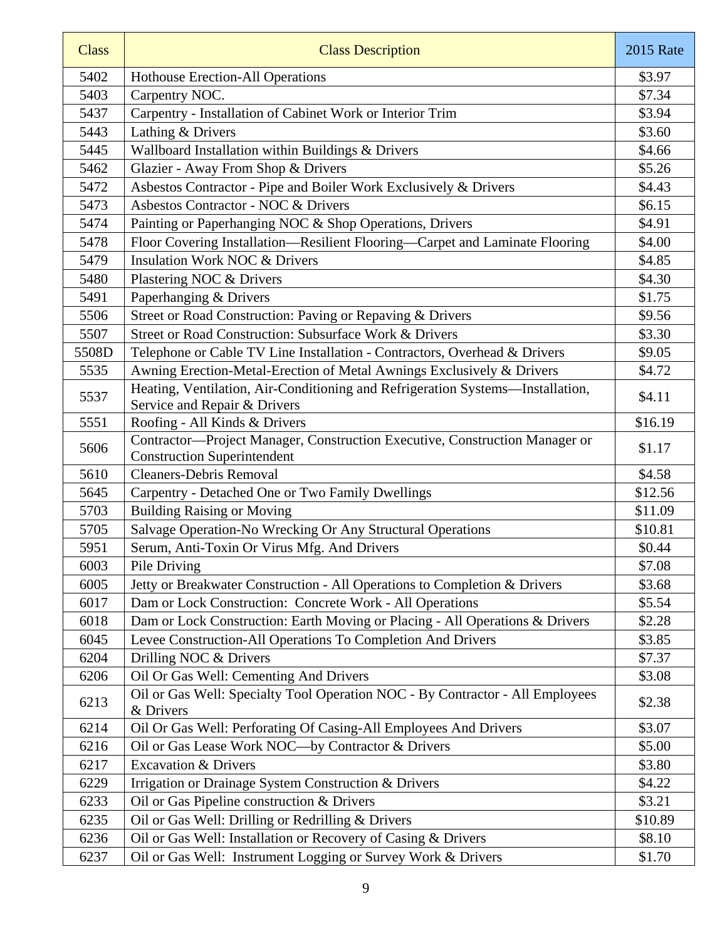| <b>Class</b> | <b>Class Description</b>                                                                                          | <b>2015 Rate</b> |
|--------------|-------------------------------------------------------------------------------------------------------------------|------------------|
| 5402         | <b>Hothouse Erection-All Operations</b>                                                                           | \$3.97           |
| 5403         | Carpentry NOC.                                                                                                    | \$7.34           |
| 5437         | Carpentry - Installation of Cabinet Work or Interior Trim                                                         | \$3.94           |
| 5443         | Lathing & Drivers                                                                                                 | \$3.60           |
| 5445         | Wallboard Installation within Buildings & Drivers                                                                 | \$4.66           |
| 5462         | Glazier - Away From Shop & Drivers                                                                                | \$5.26           |
| 5472         | Asbestos Contractor - Pipe and Boiler Work Exclusively & Drivers                                                  | \$4.43           |
| 5473         | Asbestos Contractor - NOC & Drivers                                                                               | \$6.15           |
| 5474         | Painting or Paperhanging NOC & Shop Operations, Drivers                                                           | \$4.91           |
| 5478         | Floor Covering Installation-Resilient Flooring-Carpet and Laminate Flooring                                       | \$4.00           |
| 5479         | <b>Insulation Work NOC &amp; Drivers</b>                                                                          | \$4.85           |
| 5480         | Plastering NOC & Drivers                                                                                          | \$4.30           |
| 5491         | Paperhanging & Drivers                                                                                            | \$1.75           |
| 5506         | Street or Road Construction: Paving or Repaving & Drivers                                                         | \$9.56           |
| 5507         | Street or Road Construction: Subsurface Work & Drivers                                                            | \$3.30           |
| 5508D        | Telephone or Cable TV Line Installation - Contractors, Overhead & Drivers                                         | \$9.05           |
| 5535         | Awning Erection-Metal-Erection of Metal Awnings Exclusively & Drivers                                             | \$4.72           |
| 5537         | Heating, Ventilation, Air-Conditioning and Refrigeration Systems-Installation,<br>Service and Repair & Drivers    | \$4.11           |
| 5551         | Roofing - All Kinds & Drivers                                                                                     | \$16.19          |
| 5606         | Contractor-Project Manager, Construction Executive, Construction Manager or<br><b>Construction Superintendent</b> | \$1.17           |
| 5610         | <b>Cleaners-Debris Removal</b>                                                                                    | \$4.58           |
| 5645         | Carpentry - Detached One or Two Family Dwellings                                                                  | \$12.56          |
| 5703         | <b>Building Raising or Moving</b>                                                                                 | \$11.09          |
| 5705         | Salvage Operation-No Wrecking Or Any Structural Operations                                                        | \$10.81          |
| 5951         | Serum, Anti-Toxin Or Virus Mfg. And Drivers                                                                       | \$0.44           |
| 6003         | Pile Driving                                                                                                      | \$7.08           |
| 6005         | Jetty or Breakwater Construction - All Operations to Completion & Drivers                                         | \$3.68           |
| 6017         | Dam or Lock Construction: Concrete Work - All Operations                                                          | \$5.54           |
| 6018         | Dam or Lock Construction: Earth Moving or Placing - All Operations & Drivers                                      | \$2.28           |
| 6045         | Levee Construction-All Operations To Completion And Drivers                                                       | \$3.85           |
| 6204         | Drilling NOC & Drivers                                                                                            | \$7.37           |
| 6206         | Oil Or Gas Well: Cementing And Drivers                                                                            | \$3.08           |
| 6213         | Oil or Gas Well: Specialty Tool Operation NOC - By Contractor - All Employees<br>& Drivers                        | \$2.38           |
| 6214         | Oil Or Gas Well: Perforating Of Casing-All Employees And Drivers                                                  | \$3.07           |
| 6216         | Oil or Gas Lease Work NOC-by Contractor & Drivers                                                                 | \$5.00           |
| 6217         | <b>Excavation &amp; Drivers</b>                                                                                   | \$3.80           |
| 6229         | Irrigation or Drainage System Construction & Drivers                                                              | \$4.22           |
| 6233         | Oil or Gas Pipeline construction & Drivers                                                                        | \$3.21           |
| 6235         | Oil or Gas Well: Drilling or Redrilling & Drivers                                                                 | \$10.89          |
| 6236         | Oil or Gas Well: Installation or Recovery of Casing & Drivers                                                     | \$8.10           |
| 6237         | Oil or Gas Well: Instrument Logging or Survey Work & Drivers                                                      | \$1.70           |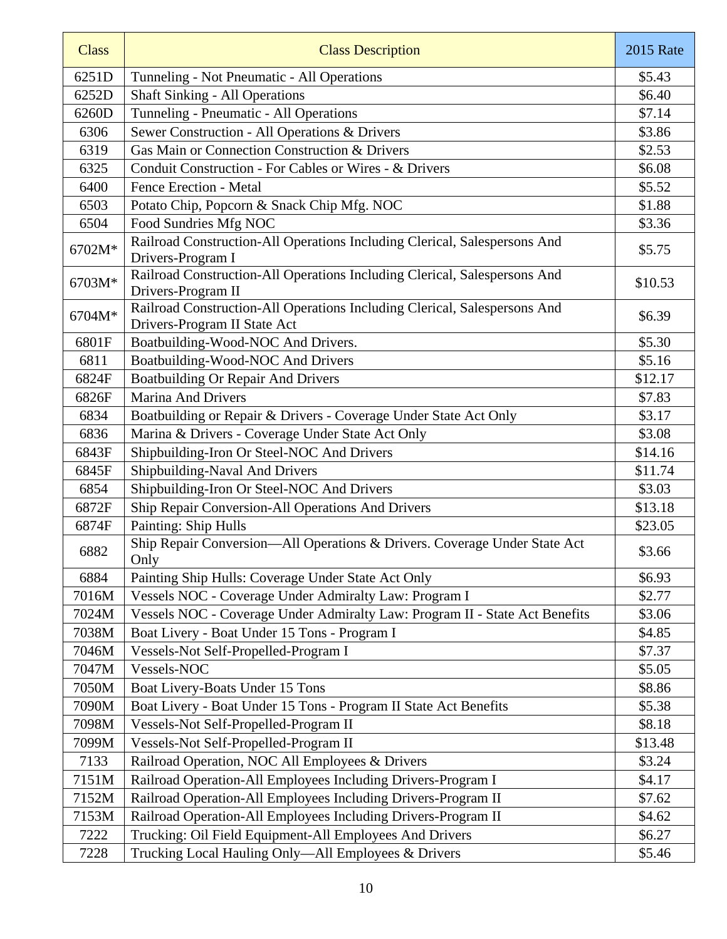| <b>Class</b> | <b>Class Description</b>                                                                                  | <b>2015 Rate</b> |
|--------------|-----------------------------------------------------------------------------------------------------------|------------------|
| 6251D        | Tunneling - Not Pneumatic - All Operations                                                                | \$5.43           |
| 6252D        | <b>Shaft Sinking - All Operations</b>                                                                     | \$6.40           |
| 6260D        | Tunneling - Pneumatic - All Operations                                                                    | \$7.14           |
| 6306         | Sewer Construction - All Operations & Drivers                                                             | \$3.86           |
| 6319         | Gas Main or Connection Construction & Drivers                                                             | \$2.53           |
| 6325         | Conduit Construction - For Cables or Wires - & Drivers                                                    | \$6.08           |
| 6400         | <b>Fence Erection - Metal</b>                                                                             | \$5.52           |
| 6503         | Potato Chip, Popcorn & Snack Chip Mfg. NOC                                                                | \$1.88           |
| 6504         | Food Sundries Mfg NOC                                                                                     | \$3.36           |
| 6702M*       | Railroad Construction-All Operations Including Clerical, Salespersons And<br>Drivers-Program I            | \$5.75           |
| 6703M*       | Railroad Construction-All Operations Including Clerical, Salespersons And<br>Drivers-Program II           | \$10.53          |
| 6704M*       | Railroad Construction-All Operations Including Clerical, Salespersons And<br>Drivers-Program II State Act | \$6.39           |
| 6801F        | Boatbuilding-Wood-NOC And Drivers.                                                                        | \$5.30           |
| 6811         | Boatbuilding-Wood-NOC And Drivers                                                                         | \$5.16           |
| 6824F        | <b>Boatbuilding Or Repair And Drivers</b>                                                                 | \$12.17          |
| 6826F        | Marina And Drivers                                                                                        | \$7.83           |
| 6834         | Boatbuilding or Repair & Drivers - Coverage Under State Act Only                                          | \$3.17           |
| 6836         | Marina & Drivers - Coverage Under State Act Only                                                          | \$3.08           |
| 6843F        | Shipbuilding-Iron Or Steel-NOC And Drivers                                                                | \$14.16          |
| 6845F        | Shipbuilding-Naval And Drivers                                                                            | \$11.74          |
| 6854         | Shipbuilding-Iron Or Steel-NOC And Drivers                                                                | \$3.03           |
| 6872F        | Ship Repair Conversion-All Operations And Drivers                                                         | \$13.18          |
| 6874F        | Painting: Ship Hulls                                                                                      | \$23.05          |
| 6882         | Ship Repair Conversion-All Operations & Drivers. Coverage Under State Act<br>Only                         | \$3.66           |
| 6884         | Painting Ship Hulls: Coverage Under State Act Only                                                        | \$6.93           |
| 7016M        | Vessels NOC - Coverage Under Admiralty Law: Program I                                                     | \$2.77           |
| 7024M        | Vessels NOC - Coverage Under Admiralty Law: Program II - State Act Benefits                               | \$3.06           |
| 7038M        | Boat Livery - Boat Under 15 Tons - Program I                                                              | \$4.85           |
| 7046M        | Vessels-Not Self-Propelled-Program I                                                                      | \$7.37           |
| 7047M        | Vessels-NOC                                                                                               | \$5.05           |
| 7050M        | Boat Livery-Boats Under 15 Tons                                                                           | \$8.86           |
| 7090M        | Boat Livery - Boat Under 15 Tons - Program II State Act Benefits                                          | \$5.38           |
| 7098M        | Vessels-Not Self-Propelled-Program II                                                                     | \$8.18           |
| 7099M        | Vessels-Not Self-Propelled-Program II                                                                     | \$13.48          |
| 7133         | Railroad Operation, NOC All Employees & Drivers                                                           | \$3.24           |
| 7151M        | Railroad Operation-All Employees Including Drivers-Program I                                              | \$4.17           |
| 7152M        | Railroad Operation-All Employees Including Drivers-Program II                                             | \$7.62           |
| 7153M        | Railroad Operation-All Employees Including Drivers-Program II                                             | \$4.62           |
| 7222         | Trucking: Oil Field Equipment-All Employees And Drivers                                                   | \$6.27           |
| 7228         | Trucking Local Hauling Only-All Employees & Drivers                                                       | \$5.46           |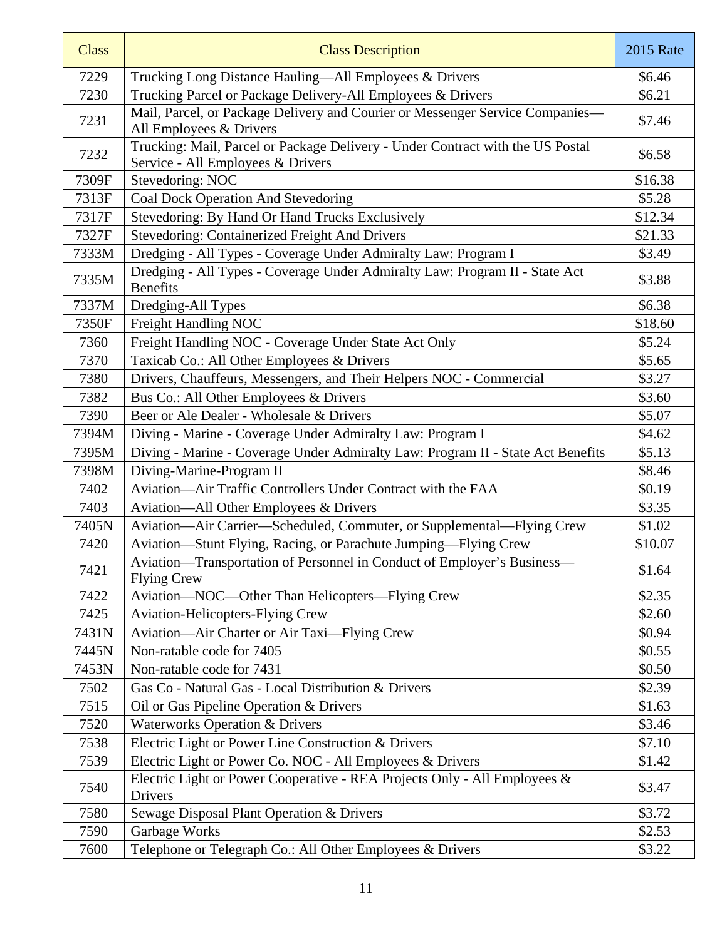| <b>Class</b> | <b>Class Description</b>                                                                                            | <b>2015</b> Rate |
|--------------|---------------------------------------------------------------------------------------------------------------------|------------------|
| 7229         | Trucking Long Distance Hauling—All Employees & Drivers                                                              | \$6.46           |
| 7230         | Trucking Parcel or Package Delivery-All Employees & Drivers                                                         | \$6.21           |
| 7231         | Mail, Parcel, or Package Delivery and Courier or Messenger Service Companies-<br>All Employees & Drivers            | \$7.46           |
| 7232         | Trucking: Mail, Parcel or Package Delivery - Under Contract with the US Postal<br>Service - All Employees & Drivers | \$6.58           |
| 7309F        | Stevedoring: NOC                                                                                                    | \$16.38          |
| 7313F        | <b>Coal Dock Operation And Stevedoring</b>                                                                          | \$5.28           |
| 7317F        | Stevedoring: By Hand Or Hand Trucks Exclusively                                                                     | \$12.34          |
| 7327F        | Stevedoring: Containerized Freight And Drivers                                                                      | \$21.33          |
| 7333M        | Dredging - All Types - Coverage Under Admiralty Law: Program I                                                      | \$3.49           |
| 7335M        | Dredging - All Types - Coverage Under Admiralty Law: Program II - State Act<br><b>Benefits</b>                      | \$3.88           |
| 7337M        | Dredging-All Types                                                                                                  | \$6.38           |
| 7350F        | Freight Handling NOC                                                                                                | \$18.60          |
| 7360         | Freight Handling NOC - Coverage Under State Act Only                                                                | \$5.24           |
| 7370         | Taxicab Co.: All Other Employees & Drivers                                                                          | \$5.65           |
| 7380         | Drivers, Chauffeurs, Messengers, and Their Helpers NOC - Commercial                                                 | \$3.27           |
| 7382         | Bus Co.: All Other Employees & Drivers                                                                              | \$3.60           |
| 7390         | Beer or Ale Dealer - Wholesale & Drivers                                                                            | \$5.07           |
| 7394M        | Diving - Marine - Coverage Under Admiralty Law: Program I                                                           | \$4.62           |
| 7395M        | Diving - Marine - Coverage Under Admiralty Law: Program II - State Act Benefits                                     | \$5.13           |
| 7398M        | Diving-Marine-Program II                                                                                            | \$8.46           |
| 7402         | Aviation-Air Traffic Controllers Under Contract with the FAA                                                        | \$0.19           |
| 7403         | Aviation-All Other Employees & Drivers                                                                              | \$3.35           |
| 7405N        | Aviation—Air Carrier—Scheduled, Commuter, or Supplemental—Flying Crew                                               | \$1.02           |
| 7420         | Aviation-Stunt Flying, Racing, or Parachute Jumping-Flying Crew                                                     | \$10.07          |
| 7421         | Aviation—Transportation of Personnel in Conduct of Employer's Business—<br><b>Flying Crew</b>                       | \$1.64           |
| 7422         | Aviation-NOC-Other Than Helicopters-Flying Crew                                                                     | \$2.35           |
| 7425         | <b>Aviation-Helicopters-Flying Crew</b>                                                                             | \$2.60           |
| 7431N        | Aviation—Air Charter or Air Taxi—Flying Crew                                                                        | \$0.94           |
| 7445N        | Non-ratable code for 7405                                                                                           | \$0.55           |
| 7453N        | Non-ratable code for 7431                                                                                           | \$0.50           |
| 7502         | Gas Co - Natural Gas - Local Distribution & Drivers                                                                 | \$2.39           |
| 7515         | Oil or Gas Pipeline Operation & Drivers                                                                             | \$1.63           |
| 7520         | Waterworks Operation & Drivers                                                                                      | \$3.46           |
| 7538         | Electric Light or Power Line Construction & Drivers                                                                 | \$7.10           |
| 7539         | Electric Light or Power Co. NOC - All Employees & Drivers                                                           | \$1.42           |
| 7540         | Electric Light or Power Cooperative - REA Projects Only - All Employees &<br>Drivers                                | \$3.47           |
| 7580         | Sewage Disposal Plant Operation & Drivers                                                                           | \$3.72           |
| 7590         | Garbage Works                                                                                                       | \$2.53           |
| 7600         | Telephone or Telegraph Co.: All Other Employees & Drivers                                                           | \$3.22           |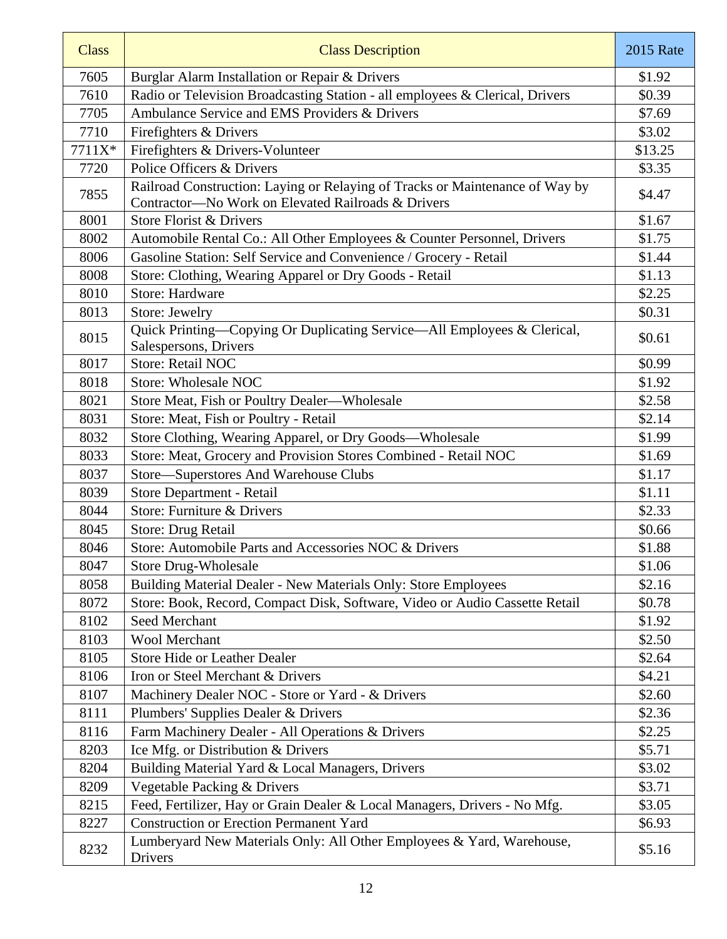| <b>Class</b> | <b>Class Description</b>                                                                                                           | <b>2015 Rate</b> |
|--------------|------------------------------------------------------------------------------------------------------------------------------------|------------------|
| 7605         | Burglar Alarm Installation or Repair & Drivers                                                                                     | \$1.92           |
| 7610         | Radio or Television Broadcasting Station - all employees & Clerical, Drivers                                                       | \$0.39           |
| 7705         | Ambulance Service and EMS Providers & Drivers                                                                                      | \$7.69           |
| 7710         | Firefighters & Drivers                                                                                                             | \$3.02           |
| 7711X*       | Firefighters & Drivers-Volunteer                                                                                                   | \$13.25          |
| 7720         | Police Officers & Drivers                                                                                                          | \$3.35           |
| 7855         | Railroad Construction: Laying or Relaying of Tracks or Maintenance of Way by<br>Contractor-No Work on Elevated Railroads & Drivers | \$4.47           |
| 8001         | Store Florist & Drivers                                                                                                            | \$1.67           |
| 8002         | Automobile Rental Co.: All Other Employees & Counter Personnel, Drivers                                                            | \$1.75           |
| 8006         | Gasoline Station: Self Service and Convenience / Grocery - Retail                                                                  | \$1.44           |
| 8008         | Store: Clothing, Wearing Apparel or Dry Goods - Retail                                                                             | \$1.13           |
| 8010         | <b>Store: Hardware</b>                                                                                                             | \$2.25           |
| 8013         | Store: Jewelry                                                                                                                     | \$0.31           |
| 8015         | Quick Printing—Copying Or Duplicating Service—All Employees & Clerical,<br>Salespersons, Drivers                                   | \$0.61           |
| 8017         | Store: Retail NOC                                                                                                                  | \$0.99           |
| 8018         | <b>Store: Wholesale NOC</b>                                                                                                        | \$1.92           |
| 8021         | Store Meat, Fish or Poultry Dealer-Wholesale                                                                                       | \$2.58           |
| 8031         | Store: Meat, Fish or Poultry - Retail                                                                                              | \$2.14           |
| 8032         | Store Clothing, Wearing Apparel, or Dry Goods-Wholesale                                                                            | \$1.99           |
| 8033         | Store: Meat, Grocery and Provision Stores Combined - Retail NOC                                                                    | \$1.69           |
| 8037         | Store-Superstores And Warehouse Clubs                                                                                              | \$1.17           |
| 8039         | Store Department - Retail                                                                                                          | \$1.11           |
| 8044         | Store: Furniture & Drivers                                                                                                         | \$2.33           |
| 8045         | Store: Drug Retail                                                                                                                 | \$0.66           |
| 8046         | Store: Automobile Parts and Accessories NOC & Drivers                                                                              | \$1.88           |
| 8047         | <b>Store Drug-Wholesale</b>                                                                                                        | \$1.06           |
| 8058         | Building Material Dealer - New Materials Only: Store Employees                                                                     | \$2.16           |
| 8072         | Store: Book, Record, Compact Disk, Software, Video or Audio Cassette Retail                                                        | \$0.78           |
| 8102         | Seed Merchant                                                                                                                      | \$1.92           |
| 8103         | <b>Wool Merchant</b>                                                                                                               | \$2.50           |
| 8105         | <b>Store Hide or Leather Dealer</b>                                                                                                | \$2.64           |
| 8106         | Iron or Steel Merchant & Drivers                                                                                                   | \$4.21           |
| 8107         | Machinery Dealer NOC - Store or Yard - & Drivers                                                                                   | \$2.60           |
| 8111         | Plumbers' Supplies Dealer & Drivers                                                                                                | \$2.36           |
| 8116         | Farm Machinery Dealer - All Operations & Drivers                                                                                   | \$2.25           |
| 8203         | Ice Mfg. or Distribution & Drivers                                                                                                 | \$5.71           |
| 8204         | Building Material Yard & Local Managers, Drivers                                                                                   | \$3.02           |
| 8209         | Vegetable Packing & Drivers                                                                                                        | \$3.71           |
| 8215         | Feed, Fertilizer, Hay or Grain Dealer & Local Managers, Drivers - No Mfg.                                                          | \$3.05           |
| 8227         | <b>Construction or Erection Permanent Yard</b>                                                                                     | \$6.93           |
| 8232         | Lumberyard New Materials Only: All Other Employees & Yard, Warehouse,<br>Drivers                                                   | \$5.16           |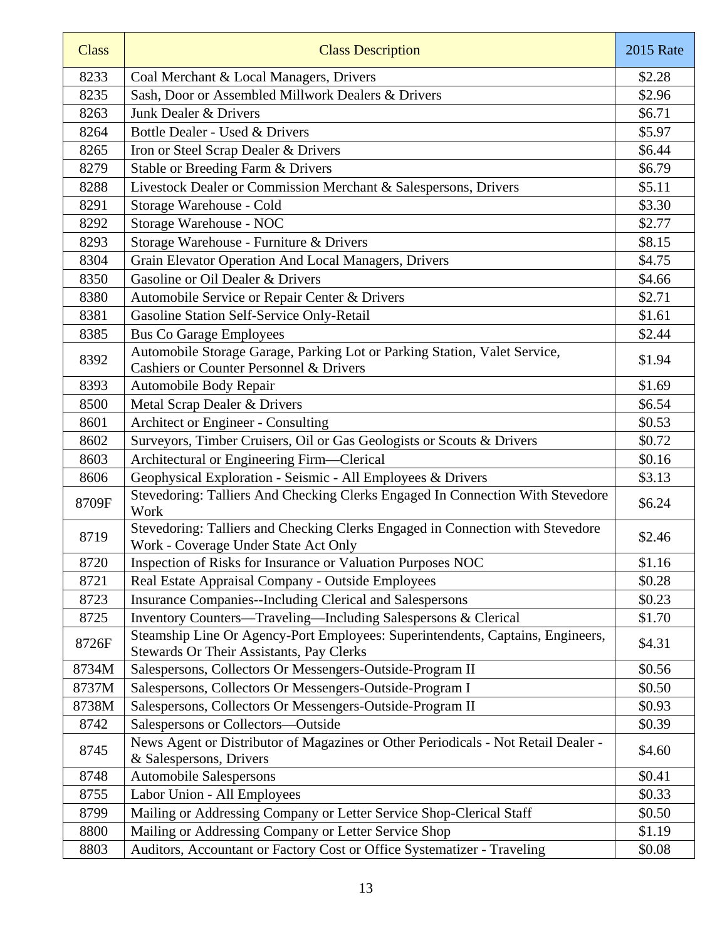| <b>Class</b> | <b>Class Description</b>                                                                                                   | <b>2015 Rate</b> |
|--------------|----------------------------------------------------------------------------------------------------------------------------|------------------|
| 8233         | Coal Merchant & Local Managers, Drivers                                                                                    | \$2.28           |
| 8235         | Sash, Door or Assembled Millwork Dealers & Drivers                                                                         | \$2.96           |
| 8263         | Junk Dealer & Drivers                                                                                                      | \$6.71           |
| 8264         | Bottle Dealer - Used & Drivers                                                                                             | \$5.97           |
| 8265         | Iron or Steel Scrap Dealer & Drivers                                                                                       | \$6.44           |
| 8279         | Stable or Breeding Farm & Drivers                                                                                          | \$6.79           |
| 8288         | Livestock Dealer or Commission Merchant & Salespersons, Drivers                                                            | \$5.11           |
| 8291         | Storage Warehouse - Cold                                                                                                   | \$3.30           |
| 8292         | Storage Warehouse - NOC                                                                                                    | \$2.77           |
| 8293         | Storage Warehouse - Furniture & Drivers                                                                                    | \$8.15           |
| 8304         | Grain Elevator Operation And Local Managers, Drivers                                                                       | \$4.75           |
| 8350         | Gasoline or Oil Dealer & Drivers                                                                                           | \$4.66           |
| 8380         | Automobile Service or Repair Center & Drivers                                                                              | \$2.71           |
| 8381         | Gasoline Station Self-Service Only-Retail                                                                                  | \$1.61           |
| 8385         | <b>Bus Co Garage Employees</b>                                                                                             | \$2.44           |
| 8392         | Automobile Storage Garage, Parking Lot or Parking Station, Valet Service,                                                  | \$1.94           |
|              | <b>Cashiers or Counter Personnel &amp; Drivers</b>                                                                         |                  |
| 8393         | Automobile Body Repair                                                                                                     | \$1.69           |
| 8500         | Metal Scrap Dealer & Drivers                                                                                               | \$6.54           |
| 8601         | Architect or Engineer - Consulting                                                                                         | \$0.53           |
| 8602         | Surveyors, Timber Cruisers, Oil or Gas Geologists or Scouts & Drivers                                                      | \$0.72           |
| 8603         | Architectural or Engineering Firm-Clerical                                                                                 | \$0.16           |
| 8606         | Geophysical Exploration - Seismic - All Employees & Drivers                                                                | \$3.13           |
| 8709F        | Stevedoring: Talliers And Checking Clerks Engaged In Connection With Stevedore<br>Work                                     | \$6.24           |
| 8719         | Stevedoring: Talliers and Checking Clerks Engaged in Connection with Stevedore<br>Work - Coverage Under State Act Only     | \$2.46           |
| 8720         | Inspection of Risks for Insurance or Valuation Purposes NOC                                                                | \$1.16           |
| 8721         | Real Estate Appraisal Company - Outside Employees                                                                          | \$0.28           |
| 8723         | Insurance Companies--Including Clerical and Salespersons                                                                   | \$0.23           |
| 8725         | Inventory Counters—Traveling—Including Salespersons & Clerical                                                             | \$1.70           |
| 8726F        | Steamship Line Or Agency-Port Employees: Superintendents, Captains, Engineers,<br>Stewards Or Their Assistants, Pay Clerks | \$4.31           |
| 8734M        | Salespersons, Collectors Or Messengers-Outside-Program II                                                                  | \$0.56           |
| 8737M        | Salespersons, Collectors Or Messengers-Outside-Program I                                                                   | \$0.50           |
| 8738M        | Salespersons, Collectors Or Messengers-Outside-Program II                                                                  | \$0.93           |
| 8742         | Salespersons or Collectors-Outside                                                                                         | \$0.39           |
| 8745         | News Agent or Distributor of Magazines or Other Periodicals - Not Retail Dealer -                                          | \$4.60           |
|              | & Salespersons, Drivers                                                                                                    |                  |
| 8748         | <b>Automobile Salespersons</b>                                                                                             | \$0.41           |
| 8755         | Labor Union - All Employees                                                                                                | \$0.33           |
| 8799         | Mailing or Addressing Company or Letter Service Shop-Clerical Staff                                                        | \$0.50           |
| 8800         | Mailing or Addressing Company or Letter Service Shop                                                                       | \$1.19           |
| 8803         | Auditors, Accountant or Factory Cost or Office Systematizer - Traveling                                                    | \$0.08           |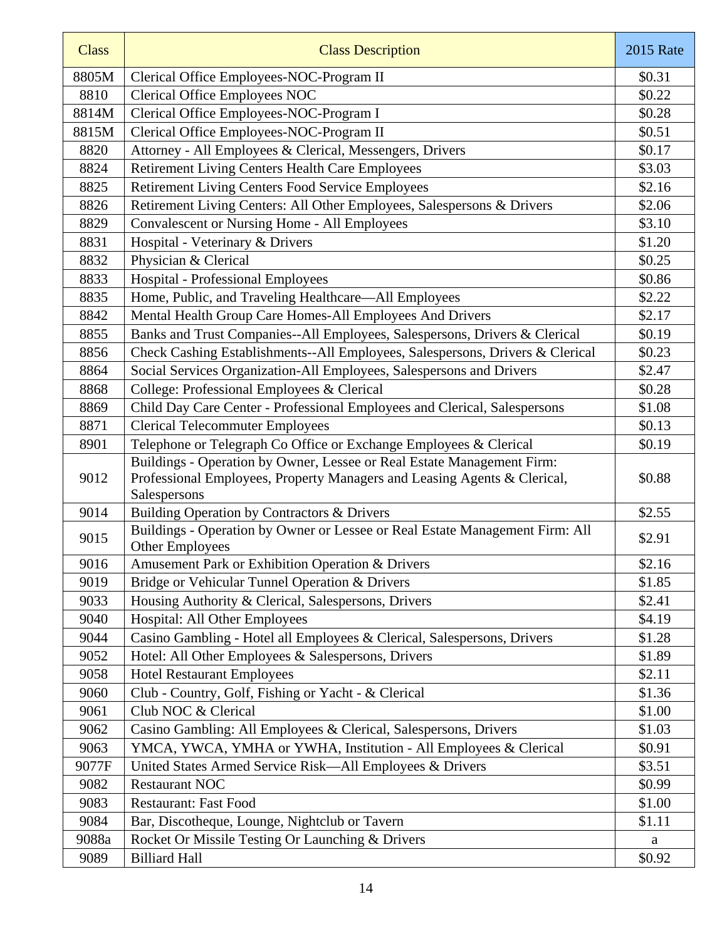| <b>Class</b> | <b>Class Description</b>                                                                                                                                           | <b>2015 Rate</b> |
|--------------|--------------------------------------------------------------------------------------------------------------------------------------------------------------------|------------------|
| 8805M        | Clerical Office Employees-NOC-Program II                                                                                                                           | \$0.31           |
| 8810         | <b>Clerical Office Employees NOC</b>                                                                                                                               | \$0.22           |
| 8814M        | Clerical Office Employees-NOC-Program I                                                                                                                            | \$0.28           |
| 8815M        | Clerical Office Employees-NOC-Program II                                                                                                                           | \$0.51           |
| 8820         | Attorney - All Employees & Clerical, Messengers, Drivers                                                                                                           | \$0.17           |
| 8824         | <b>Retirement Living Centers Health Care Employees</b>                                                                                                             | \$3.03           |
| 8825         | Retirement Living Centers Food Service Employees                                                                                                                   | \$2.16           |
| 8826         | Retirement Living Centers: All Other Employees, Salespersons & Drivers                                                                                             | \$2.06           |
| 8829         | Convalescent or Nursing Home - All Employees                                                                                                                       | \$3.10           |
| 8831         | Hospital - Veterinary & Drivers                                                                                                                                    | \$1.20           |
| 8832         | Physician & Clerical                                                                                                                                               | \$0.25           |
| 8833         | Hospital - Professional Employees                                                                                                                                  | \$0.86           |
| 8835         | Home, Public, and Traveling Healthcare—All Employees                                                                                                               | \$2.22           |
| 8842         | Mental Health Group Care Homes-All Employees And Drivers                                                                                                           | \$2.17           |
| 8855         | Banks and Trust Companies--All Employees, Salespersons, Drivers & Clerical                                                                                         | \$0.19           |
| 8856         | Check Cashing Establishments--All Employees, Salespersons, Drivers & Clerical                                                                                      | \$0.23           |
| 8864         | Social Services Organization-All Employees, Salespersons and Drivers                                                                                               | \$2.47           |
| 8868         | College: Professional Employees & Clerical                                                                                                                         | \$0.28           |
| 8869         | Child Day Care Center - Professional Employees and Clerical, Salespersons                                                                                          | \$1.08           |
| 8871         | <b>Clerical Telecommuter Employees</b>                                                                                                                             | \$0.13           |
| 8901         | Telephone or Telegraph Co Office or Exchange Employees & Clerical                                                                                                  | \$0.19           |
| 9012         | Buildings - Operation by Owner, Lessee or Real Estate Management Firm:<br>Professional Employees, Property Managers and Leasing Agents & Clerical,<br>Salespersons | \$0.88           |
| 9014         | Building Operation by Contractors & Drivers                                                                                                                        | \$2.55           |
| 9015         | Buildings - Operation by Owner or Lessee or Real Estate Management Firm: All<br>Other Employees                                                                    | \$2.91           |
| 9016         | Amusement Park or Exhibition Operation & Drivers                                                                                                                   | \$2.16           |
| 9019         | Bridge or Vehicular Tunnel Operation & Drivers                                                                                                                     | \$1.85           |
| 9033         | Housing Authority & Clerical, Salespersons, Drivers                                                                                                                | \$2.41           |
| 9040         | Hospital: All Other Employees                                                                                                                                      | \$4.19           |
| 9044         | Casino Gambling - Hotel all Employees & Clerical, Salespersons, Drivers                                                                                            | \$1.28           |
| 9052         | Hotel: All Other Employees & Salespersons, Drivers                                                                                                                 | \$1.89           |
| 9058         | <b>Hotel Restaurant Employees</b>                                                                                                                                  | \$2.11           |
| 9060         | Club - Country, Golf, Fishing or Yacht - & Clerical                                                                                                                | \$1.36           |
| 9061         | Club NOC & Clerical                                                                                                                                                | \$1.00           |
| 9062         | Casino Gambling: All Employees & Clerical, Salespersons, Drivers                                                                                                   | \$1.03           |
| 9063         | YMCA, YWCA, YMHA or YWHA, Institution - All Employees & Clerical                                                                                                   | \$0.91           |
| 9077F        | United States Armed Service Risk—All Employees & Drivers                                                                                                           | \$3.51           |
| 9082         | <b>Restaurant NOC</b>                                                                                                                                              | \$0.99           |
| 9083         | <b>Restaurant: Fast Food</b>                                                                                                                                       | \$1.00           |
| 9084         | Bar, Discotheque, Lounge, Nightclub or Tavern                                                                                                                      | \$1.11           |
| 9088a        | Rocket Or Missile Testing Or Launching & Drivers                                                                                                                   | a                |
| 9089         | <b>Billiard Hall</b>                                                                                                                                               | \$0.92           |